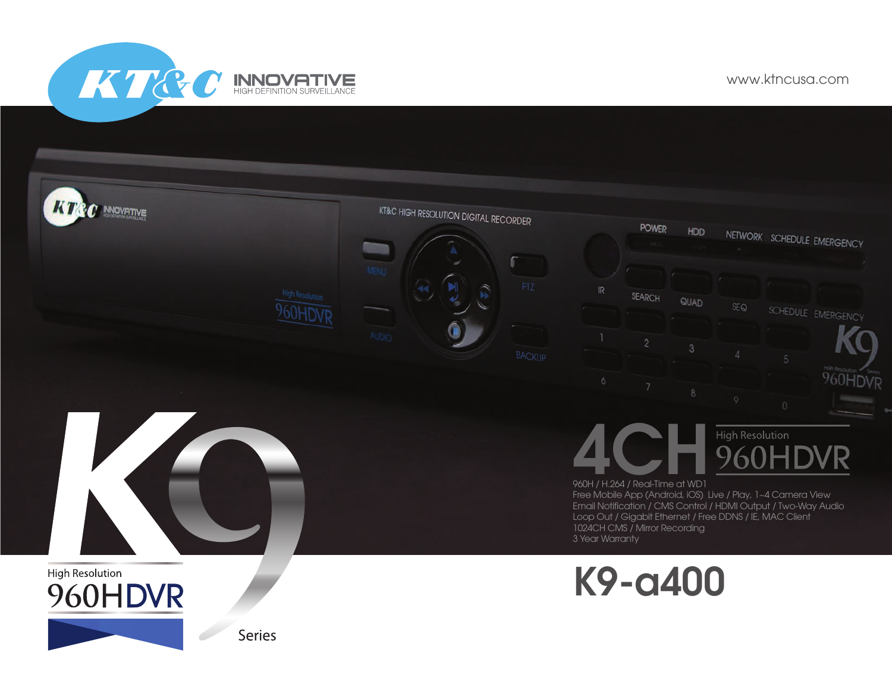KT&C INNOVATIVE

www.ktncusa.com



**Series**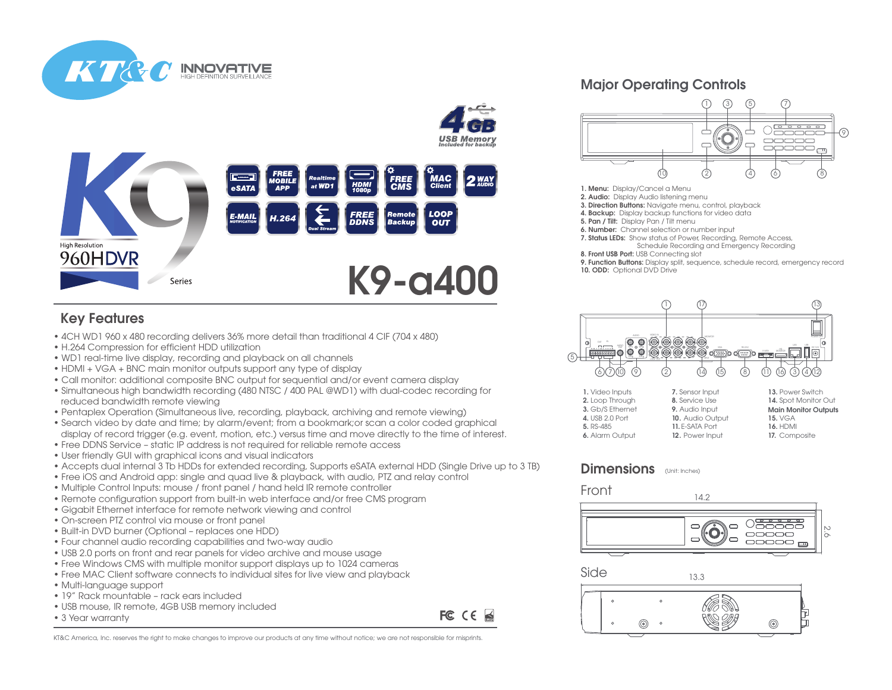

## Key Features

KT&

• 4CH WD1 960 x 480 recording delivers 36% more detail than traditional 4 CIF (704 x 480)

**INNOVATIVE** 

- H.264 Compression for efficient HDD utilization
- WD1 real-time live display, recording and playback on all channels
- HDMI + VGA + BNC main monitor outputs support any type of display
- Call monitor: additional composite BNC output for sequential and/or event camera display
- Simultaneous high bandwidth recording (480 NTSC / 400 PAL @WD1) with dual-codec recording for reduced bandwidth remote viewing
- Pentaplex Operation (Simultaneous live, recording, playback, archiving and remote viewing)
- Search video by date and time; by alarm/event; from a bookmark;or scan a color coded graphical display of record trigger (e.g. event, motion, etc.) versus time and move directly to the time of interest.
- Free DDNS Service static IP address is not required for reliable remote access
- User friendly GUI with graphical icons and visual indicators
- Accepts dual internal 3 Tb HDDs for extended recording, Supports eSATA external HDD (Single Drive up to 3 TB)
- Free iOS and Android app: single and quad live & playback, with audio, PTZ and relay control
- Multiple Control Inputs: mouse / front panel / hand held IR remote controller
- Remote configuration support from built-in web interface and/or free CMS program
- Gigabit Ethernet interface for remote network viewing and control
- On-screen PTZ control via mouse or front panel
- Built-in DVD burner (Optional replaces one HDD)
- Four channel audio recording capabilities and two-way audio
- USB 2.0 ports on front and rear panels for video archive and mouse usage
- Free Windows CMS with multiple monitor support displays up to 1024 cameras
- Free MAC Client software connects to individual sites for live view and playback
- Multi-language support
- 19" Rack mountable rack ears included
- USB mouse, IR remote, 4GB USB memory included
- 3 Year warranty

FC CE

## Major Operating Controls



- 1. Menu: Display/Cancel a Menu
- 2. Audio: Display Audio listening menu
- 3. Direction Buttons: Navigate menu, control, playback
- 4. Backup: Display backup functions for video data 5. Pan / Tilt: Display Pan / Tilt menu
- 
- 6. Number: Channel selection or number input
- 7. Status LEDs: Show status of Power, Recording, Remote Access, Schedule Recording and Emergency Recording
- 8. Front USB Port: USB Connecting slot
	- 9. Function Buttons: Display split, sequence, schedule record, emergency record 10. ODD: Optional DVD Drive



| 1. Video Inputs  | 7. Sensor Input  | 13. Power Switch            |
|------------------|------------------|-----------------------------|
| 2. Loop Through  | 8. Service Use   | 14. Spot Monitor Out        |
| 3. Gb/S Ethernet | 9. Audio Input   | <b>Main Monitor Outputs</b> |
| 4. USB 2.0 Port  | 10. Audio Output | <b>15. VGA</b>              |
| 5. RS-485        | 11. E-SATA Port  | <b>16. HDMI</b>             |
| 6. Alarm Output  | 12. Power Input  | 17. Composite               |

## Dimensions (Unit: Inches)

Front







13.3

KT&C America, Inc. reserves the right to make changes to improve our products at any time without notice; we are not responsible for misprints.